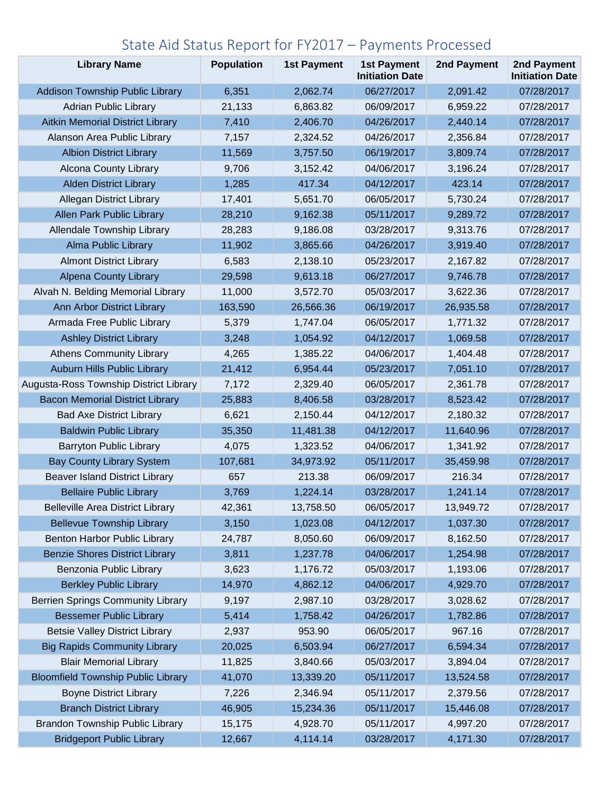## State Aid Status Report for FY2017 – Payments Processed

| <b>Library Name</b>                       | <b>Population</b> | <b>1st Payment</b> | <b>1st Payment</b><br><b>Initiation Date</b> | 2nd Payment | 2nd Payment<br><b>Initiation Date</b> |
|-------------------------------------------|-------------------|--------------------|----------------------------------------------|-------------|---------------------------------------|
| <b>Addison Township Public Library</b>    | 6,351             | 2,062.74           | 06/27/2017                                   | 2,091.42    | 07/28/2017                            |
| <b>Adrian Public Library</b>              | 21,133            | 6,863.82           | 06/09/2017                                   | 6,959.22    | 07/28/2017                            |
| <b>Aitkin Memorial District Library</b>   | 7,410             | 2,406.70           | 04/26/2017                                   | 2,440.14    | 07/28/2017                            |
| Alanson Area Public Library               | 7,157             | 2,324.52           | 04/26/2017                                   | 2,356.84    | 07/28/2017                            |
| <b>Albion District Library</b>            | 11,569            | 3,757.50           | 06/19/2017                                   | 3,809.74    | 07/28/2017                            |
| Alcona County Library                     | 9,706             | 3,152.42           | 04/06/2017                                   | 3,196.24    | 07/28/2017                            |
| <b>Alden District Library</b>             | 1,285             | 417.34             | 04/12/2017                                   | 423.14      | 07/28/2017                            |
| <b>Allegan District Library</b>           | 17,401            | 5,651.70           | 06/05/2017                                   | 5,730.24    | 07/28/2017                            |
| Allen Park Public Library                 | 28,210            | 9,162.38           | 05/11/2017                                   | 9,289.72    | 07/28/2017                            |
| Allendale Township Library                | 28,283            | 9,186.08           | 03/28/2017                                   | 9,313.76    | 07/28/2017                            |
| <b>Alma Public Library</b>                | 11,902            | 3,865.66           | 04/26/2017                                   | 3,919.40    | 07/28/2017                            |
| <b>Almont District Library</b>            | 6,583             | 2,138.10           | 05/23/2017                                   | 2,167.82    | 07/28/2017                            |
| <b>Alpena County Library</b>              | 29,598            | 9,613.18           | 06/27/2017                                   | 9,746.78    | 07/28/2017                            |
| Alvah N. Belding Memorial Library         | 11,000            | 3,572.70           | 05/03/2017                                   | 3,622.36    | 07/28/2017                            |
| Ann Arbor District Library                | 163,590           | 26,566.36          | 06/19/2017                                   | 26,935.58   | 07/28/2017                            |
| Armada Free Public Library                | 5,379             | 1,747.04           | 06/05/2017                                   | 1,771.32    | 07/28/2017                            |
| <b>Ashley District Library</b>            | 3,248             | 1,054.92           | 04/12/2017                                   | 1,069.58    | 07/28/2017                            |
| <b>Athens Community Library</b>           | 4,265             | 1,385.22           | 04/06/2017                                   | 1,404.48    | 07/28/2017                            |
| Auburn Hills Public Library               | 21,412            | 6,954.44           | 05/23/2017                                   | 7,051.10    | 07/28/2017                            |
| Augusta-Ross Township District Library    | 7,172             | 2,329.40           | 06/05/2017                                   | 2,361.78    | 07/28/2017                            |
| <b>Bacon Memorial District Library</b>    | 25,883            | 8,406.58           | 03/28/2017                                   | 8,523.42    | 07/28/2017                            |
| <b>Bad Axe District Library</b>           | 6,621             | 2,150.44           | 04/12/2017                                   | 2,180.32    | 07/28/2017                            |
| <b>Baldwin Public Library</b>             | 35,350            | 11,481.38          | 04/12/2017                                   | 11,640.96   | 07/28/2017                            |
| <b>Barryton Public Library</b>            | 4,075             | 1,323.52           | 04/06/2017                                   | 1,341.92    | 07/28/2017                            |
| <b>Bay County Library System</b>          | 107,681           | 34,973.92          | 05/11/2017                                   | 35,459.98   | 07/28/2017                            |
| <b>Beaver Island District Library</b>     | 657               | 213.38             | 06/09/2017                                   | 216.34      | 07/28/2017                            |
| <b>Bellaire Public Library</b>            | 3,769             | 1,224.14           | 03/28/2017                                   | 1,241.14    | 07/28/2017                            |
| <b>Belleville Area District Library</b>   | 42,361            | 13,758.50          | 06/05/2017                                   | 13,949.72   | 07/28/2017                            |
| <b>Bellevue Township Library</b>          | 3,150             | 1,023.08           | 04/12/2017                                   | 1,037.30    | 07/28/2017                            |
| Benton Harbor Public Library              | 24,787            | 8,050.60           | 06/09/2017                                   | 8,162.50    | 07/28/2017                            |
| <b>Benzie Shores District Library</b>     | 3,811             | 1,237.78           | 04/06/2017                                   | 1,254.98    | 07/28/2017                            |
| Benzonia Public Library                   | 3,623             | 1,176.72           | 05/03/2017                                   | 1,193.06    | 07/28/2017                            |
| <b>Berkley Public Library</b>             | 14,970            | 4,862.12           | 04/06/2017                                   | 4,929.70    | 07/28/2017                            |
| <b>Berrien Springs Community Library</b>  | 9,197             | 2,987.10           | 03/28/2017                                   | 3,028.62    | 07/28/2017                            |
| <b>Bessemer Public Library</b>            | 5,414             | 1,758.42           | 04/26/2017                                   | 1,782.86    | 07/28/2017                            |
| <b>Betsie Valley District Library</b>     | 2,937             | 953.90             | 06/05/2017                                   | 967.16      | 07/28/2017                            |
| <b>Big Rapids Community Library</b>       | 20,025            | 6,503.94           | 06/27/2017                                   | 6,594.34    | 07/28/2017                            |
| <b>Blair Memorial Library</b>             | 11,825            | 3,840.66           | 05/03/2017                                   | 3,894.04    | 07/28/2017                            |
| <b>Bloomfield Township Public Library</b> | 41,070            | 13,339.20          | 05/11/2017                                   | 13,524.58   | 07/28/2017                            |
| <b>Boyne District Library</b>             | 7,226             | 2,346.94           | 05/11/2017                                   | 2,379.56    | 07/28/2017                            |
| <b>Branch District Library</b>            | 46,905            | 15,234.36          | 05/11/2017                                   | 15,446.08   | 07/28/2017                            |
| <b>Brandon Township Public Library</b>    | 15,175            | 4,928.70           | 05/11/2017                                   | 4,997.20    | 07/28/2017                            |
| <b>Bridgeport Public Library</b>          | 12,667            | 4,114.14           | 03/28/2017                                   | 4,171.30    | 07/28/2017                            |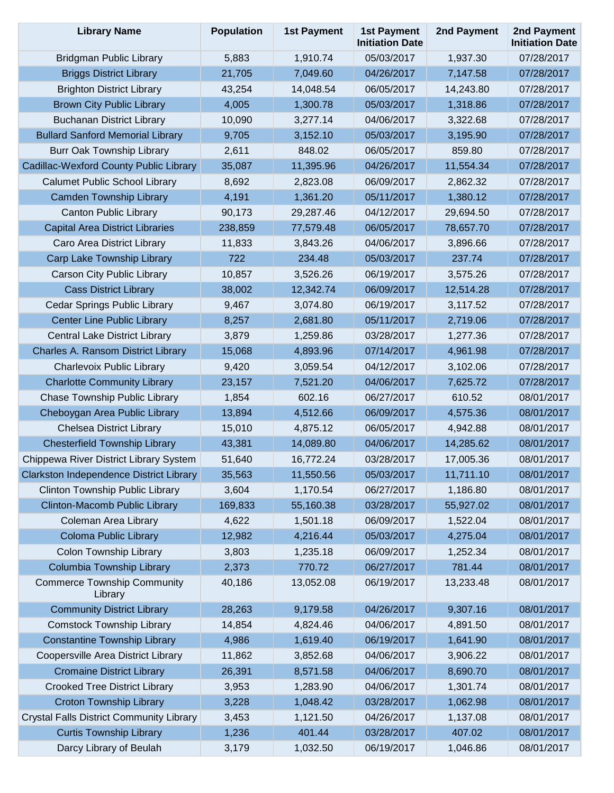| <b>Library Name</b>                             | <b>Population</b> | <b>1st Payment</b> | <b>1st Payment</b><br><b>Initiation Date</b> | 2nd Payment | 2nd Payment<br><b>Initiation Date</b> |
|-------------------------------------------------|-------------------|--------------------|----------------------------------------------|-------------|---------------------------------------|
| <b>Bridgman Public Library</b>                  | 5,883             | 1,910.74           | 05/03/2017                                   | 1,937.30    | 07/28/2017                            |
| <b>Briggs District Library</b>                  | 21,705            | 7,049.60           | 04/26/2017                                   | 7,147.58    | 07/28/2017                            |
| <b>Brighton District Library</b>                | 43,254            | 14,048.54          | 06/05/2017                                   | 14,243.80   | 07/28/2017                            |
| <b>Brown City Public Library</b>                | 4,005             | 1,300.78           | 05/03/2017                                   | 1,318.86    | 07/28/2017                            |
| <b>Buchanan District Library</b>                | 10,090            | 3,277.14           | 04/06/2017                                   | 3,322.68    | 07/28/2017                            |
| <b>Bullard Sanford Memorial Library</b>         | 9,705             | 3,152.10           | 05/03/2017                                   | 3,195.90    | 07/28/2017                            |
| <b>Burr Oak Township Library</b>                | 2,611             | 848.02             | 06/05/2017                                   | 859.80      | 07/28/2017                            |
| Cadillac-Wexford County Public Library          | 35,087            | 11,395.96          | 04/26/2017                                   | 11,554.34   | 07/28/2017                            |
| <b>Calumet Public School Library</b>            | 8,692             | 2,823.08           | 06/09/2017                                   | 2,862.32    | 07/28/2017                            |
| <b>Camden Township Library</b>                  | 4,191             | 1,361.20           | 05/11/2017                                   | 1,380.12    | 07/28/2017                            |
| <b>Canton Public Library</b>                    | 90,173            | 29,287.46          | 04/12/2017                                   | 29,694.50   | 07/28/2017                            |
| <b>Capital Area District Libraries</b>          | 238,859           | 77,579.48          | 06/05/2017                                   | 78,657.70   | 07/28/2017                            |
| Caro Area District Library                      | 11,833            | 3,843.26           | 04/06/2017                                   | 3,896.66    | 07/28/2017                            |
| Carp Lake Township Library                      | 722               | 234.48             | 05/03/2017                                   | 237.74      | 07/28/2017                            |
| <b>Carson City Public Library</b>               | 10,857            | 3,526.26           | 06/19/2017                                   | 3,575.26    | 07/28/2017                            |
| <b>Cass District Library</b>                    | 38,002            | 12,342.74          | 06/09/2017                                   | 12,514.28   | 07/28/2017                            |
| Cedar Springs Public Library                    | 9,467             | 3,074.80           | 06/19/2017                                   | 3,117.52    | 07/28/2017                            |
| <b>Center Line Public Library</b>               | 8,257             | 2,681.80           | 05/11/2017                                   | 2,719.06    | 07/28/2017                            |
| <b>Central Lake District Library</b>            | 3,879             | 1,259.86           | 03/28/2017                                   | 1,277.36    | 07/28/2017                            |
| Charles A. Ransom District Library              | 15,068            | 4,893.96           | 07/14/2017                                   | 4,961.98    | 07/28/2017                            |
| Charlevoix Public Library                       | 9,420             | 3,059.54           | 04/12/2017                                   | 3,102.06    | 07/28/2017                            |
| <b>Charlotte Community Library</b>              | 23,157            | 7,521.20           | 04/06/2017                                   | 7,625.72    | 07/28/2017                            |
| Chase Township Public Library                   | 1,854             | 602.16             | 06/27/2017                                   | 610.52      | 08/01/2017                            |
| Cheboygan Area Public Library                   | 13,894            | 4,512.66           | 06/09/2017                                   | 4,575.36    | 08/01/2017                            |
| <b>Chelsea District Library</b>                 | 15,010            | 4,875.12           | 06/05/2017                                   | 4,942.88    | 08/01/2017                            |
| <b>Chesterfield Township Library</b>            | 43,381            | 14,089.80          | 04/06/2017                                   | 14,285.62   | 08/01/2017                            |
| Chippewa River District Library System          | 51,640            | 16,772.24          | 03/28/2017                                   | 17,005.36   | 08/01/2017                            |
| Clarkston Independence District Library         | 35,563            | 11,550.56          | 05/03/2017                                   | 11,711.10   | 08/01/2017                            |
| Clinton Township Public Library                 | 3,604             | 1,170.54           | 06/27/2017                                   | 1,186.80    | 08/01/2017                            |
| Clinton-Macomb Public Library                   | 169,833           | 55,160.38          | 03/28/2017                                   | 55,927.02   | 08/01/2017                            |
| Coleman Area Library                            | 4,622             | 1,501.18           | 06/09/2017                                   | 1,522.04    | 08/01/2017                            |
| Coloma Public Library                           | 12,982            | 4,216.44           | 05/03/2017                                   | 4,275.04    | 08/01/2017                            |
| <b>Colon Township Library</b>                   | 3,803             | 1,235.18           | 06/09/2017                                   | 1,252.34    | 08/01/2017                            |
| Columbia Township Library                       | 2,373             | 770.72             | 06/27/2017                                   | 781.44      | 08/01/2017                            |
| <b>Commerce Township Community</b><br>Library   | 40,186            | 13,052.08          | 06/19/2017                                   | 13,233.48   | 08/01/2017                            |
| <b>Community District Library</b>               | 28,263            | 9,179.58           | 04/26/2017                                   | 9,307.16    | 08/01/2017                            |
| <b>Comstock Township Library</b>                | 14,854            | 4,824.46           | 04/06/2017                                   | 4,891.50    | 08/01/2017                            |
| <b>Constantine Township Library</b>             | 4,986             | 1,619.40           | 06/19/2017                                   | 1,641.90    | 08/01/2017                            |
| Coopersville Area District Library              | 11,862            | 3,852.68           | 04/06/2017                                   | 3,906.22    | 08/01/2017                            |
| <b>Cromaine District Library</b>                | 26,391            | 8,571.58           | 04/06/2017                                   | 8,690.70    | 08/01/2017                            |
| <b>Crooked Tree District Library</b>            | 3,953             | 1,283.90           | 04/06/2017                                   | 1,301.74    | 08/01/2017                            |
| <b>Croton Township Library</b>                  | 3,228             | 1,048.42           | 03/28/2017                                   | 1,062.98    | 08/01/2017                            |
| <b>Crystal Falls District Community Library</b> | 3,453             | 1,121.50           | 04/26/2017                                   | 1,137.08    | 08/01/2017                            |
| <b>Curtis Township Library</b>                  | 1,236             | 401.44             | 03/28/2017                                   | 407.02      | 08/01/2017                            |
| Darcy Library of Beulah                         | 3,179             | 1,032.50           | 06/19/2017                                   | 1,046.86    | 08/01/2017                            |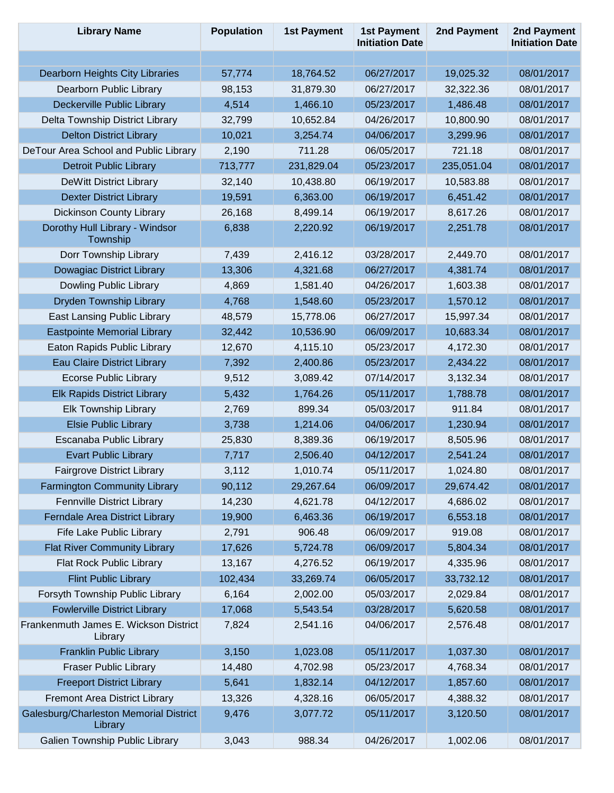| <b>Library Name</b>                               | <b>Population</b> | <b>1st Payment</b> | <b>1st Payment</b><br><b>Initiation Date</b> | 2nd Payment | 2nd Payment<br><b>Initiation Date</b> |
|---------------------------------------------------|-------------------|--------------------|----------------------------------------------|-------------|---------------------------------------|
|                                                   |                   |                    |                                              |             |                                       |
| Dearborn Heights City Libraries                   | 57,774            | 18,764.52          | 06/27/2017                                   | 19,025.32   | 08/01/2017                            |
| Dearborn Public Library                           | 98,153            | 31,879.30          | 06/27/2017                                   | 32,322.36   | 08/01/2017                            |
| Deckerville Public Library                        | 4,514             | 1,466.10           | 05/23/2017                                   | 1,486.48    | 08/01/2017                            |
| Delta Township District Library                   | 32,799            | 10,652.84          | 04/26/2017                                   | 10,800.90   | 08/01/2017                            |
| <b>Delton District Library</b>                    | 10,021            | 3,254.74           | 04/06/2017                                   | 3,299.96    | 08/01/2017                            |
| DeTour Area School and Public Library             | 2,190             | 711.28             | 06/05/2017                                   | 721.18      | 08/01/2017                            |
| <b>Detroit Public Library</b>                     | 713,777           | 231,829.04         | 05/23/2017                                   | 235,051.04  | 08/01/2017                            |
| <b>DeWitt District Library</b>                    | 32,140            | 10,438.80          | 06/19/2017                                   | 10,583.88   | 08/01/2017                            |
| <b>Dexter District Library</b>                    | 19,591            | 6,363.00           | 06/19/2017                                   | 6,451.42    | 08/01/2017                            |
| <b>Dickinson County Library</b>                   | 26,168            | 8,499.14           | 06/19/2017                                   | 8,617.26    | 08/01/2017                            |
| Dorothy Hull Library - Windsor<br>Township        | 6,838             | 2,220.92           | 06/19/2017                                   | 2,251.78    | 08/01/2017                            |
| Dorr Township Library                             | 7,439             | 2,416.12           | 03/28/2017                                   | 2,449.70    | 08/01/2017                            |
| <b>Dowagiac District Library</b>                  | 13,306            | 4,321.68           | 06/27/2017                                   | 4,381.74    | 08/01/2017                            |
| Dowling Public Library                            | 4,869             | 1,581.40           | 04/26/2017                                   | 1,603.38    | 08/01/2017                            |
| Dryden Township Library                           | 4,768             | 1,548.60           | 05/23/2017                                   | 1,570.12    | 08/01/2017                            |
| <b>East Lansing Public Library</b>                | 48,579            | 15,778.06          | 06/27/2017                                   | 15,997.34   | 08/01/2017                            |
| <b>Eastpointe Memorial Library</b>                | 32,442            | 10,536.90          | 06/09/2017                                   | 10,683.34   | 08/01/2017                            |
| Eaton Rapids Public Library                       | 12,670            | 4,115.10           | 05/23/2017                                   | 4,172.30    | 08/01/2017                            |
| <b>Eau Claire District Library</b>                | 7,392             | 2,400.86           | 05/23/2017                                   | 2,434.22    | 08/01/2017                            |
| <b>Ecorse Public Library</b>                      | 9,512             | 3,089.42           | 07/14/2017                                   | 3,132.34    | 08/01/2017                            |
| <b>Elk Rapids District Library</b>                | 5,432             | 1,764.26           | 05/11/2017                                   | 1,788.78    | 08/01/2017                            |
| <b>Elk Township Library</b>                       | 2,769             | 899.34             | 05/03/2017                                   | 911.84      | 08/01/2017                            |
| <b>Elsie Public Library</b>                       | 3,738             | 1,214.06           | 04/06/2017                                   | 1,230.94    | 08/01/2017                            |
| Escanaba Public Library                           | 25,830            | 8,389.36           | 06/19/2017                                   | 8,505.96    | 08/01/2017                            |
| <b>Evart Public Library</b>                       | 7,717             | 2,506.40           | 04/12/2017                                   | 2,541.24    | 08/01/2017                            |
| <b>Fairgrove District Library</b>                 | 3,112             | 1,010.74           | 05/11/2017                                   | 1,024.80    | 08/01/2017                            |
| <b>Farmington Community Library</b>               | 90,112            | 29,267.64          | 06/09/2017                                   | 29,674.42   | 08/01/2017                            |
| Fennville District Library                        | 14,230            | 4,621.78           | 04/12/2017                                   | 4,686.02    | 08/01/2017                            |
| Ferndale Area District Library                    | 19,900            | 6,463.36           | 06/19/2017                                   | 6,553.18    | 08/01/2017                            |
| Fife Lake Public Library                          | 2,791             | 906.48             | 06/09/2017                                   | 919.08      | 08/01/2017                            |
| <b>Flat River Community Library</b>               | 17,626            | 5,724.78           | 06/09/2017                                   | 5,804.34    | 08/01/2017                            |
| Flat Rock Public Library                          | 13,167            | 4,276.52           | 06/19/2017                                   | 4,335.96    | 08/01/2017                            |
| <b>Flint Public Library</b>                       | 102,434           | 33,269.74          | 06/05/2017                                   | 33,732.12   | 08/01/2017                            |
| Forsyth Township Public Library                   | 6,164             | 2,002.00           | 05/03/2017                                   | 2,029.84    | 08/01/2017                            |
| <b>Fowlerville District Library</b>               | 17,068            | 5,543.54           | 03/28/2017                                   | 5,620.58    | 08/01/2017                            |
| Frankenmuth James E. Wickson District<br>Library  | 7,824             | 2,541.16           | 04/06/2017                                   | 2,576.48    | 08/01/2017                            |
| <b>Franklin Public Library</b>                    | 3,150             | 1,023.08           | 05/11/2017                                   | 1,037.30    | 08/01/2017                            |
| <b>Fraser Public Library</b>                      | 14,480            | 4,702.98           | 05/23/2017                                   | 4,768.34    | 08/01/2017                            |
| <b>Freeport District Library</b>                  | 5,641             | 1,832.14           | 04/12/2017                                   | 1,857.60    | 08/01/2017                            |
| Fremont Area District Library                     | 13,326            | 4,328.16           | 06/05/2017                                   | 4,388.32    | 08/01/2017                            |
| Galesburg/Charleston Memorial District<br>Library | 9,476             | 3,077.72           | 05/11/2017                                   | 3,120.50    | 08/01/2017                            |
| Galien Township Public Library                    | 3,043             | 988.34             | 04/26/2017                                   | 1,002.06    | 08/01/2017                            |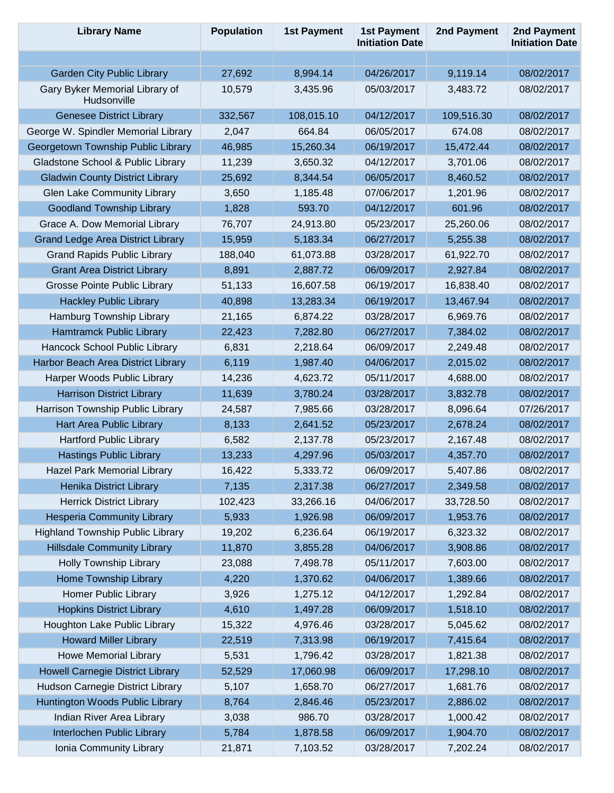| <b>Library Name</b>                           | <b>Population</b> | <b>1st Payment</b> | <b>1st Payment</b><br><b>Initiation Date</b> | 2nd Payment | 2nd Payment<br><b>Initiation Date</b> |
|-----------------------------------------------|-------------------|--------------------|----------------------------------------------|-------------|---------------------------------------|
|                                               |                   |                    |                                              |             |                                       |
| <b>Garden City Public Library</b>             | 27,692            | 8,994.14           | 04/26/2017                                   | 9,119.14    | 08/02/2017                            |
| Gary Byker Memorial Library of<br>Hudsonville | 10,579            | 3,435.96           | 05/03/2017                                   | 3,483.72    | 08/02/2017                            |
| <b>Genesee District Library</b>               | 332,567           | 108,015.10         | 04/12/2017                                   | 109,516.30  | 08/02/2017                            |
| George W. Spindler Memorial Library           | 2,047             | 664.84             | 06/05/2017                                   | 674.08      | 08/02/2017                            |
| Georgetown Township Public Library            | 46,985            | 15,260.34          | 06/19/2017                                   | 15,472.44   | 08/02/2017                            |
| Gladstone School & Public Library             | 11,239            | 3,650.32           | 04/12/2017                                   | 3,701.06    | 08/02/2017                            |
| <b>Gladwin County District Library</b>        | 25,692            | 8,344.54           | 06/05/2017                                   | 8,460.52    | 08/02/2017                            |
| Glen Lake Community Library                   | 3,650             | 1,185.48           | 07/06/2017                                   | 1,201.96    | 08/02/2017                            |
| <b>Goodland Township Library</b>              | 1,828             | 593.70             | 04/12/2017                                   | 601.96      | 08/02/2017                            |
| Grace A. Dow Memorial Library                 | 76,707            | 24,913.80          | 05/23/2017                                   | 25,260.06   | 08/02/2017                            |
| <b>Grand Ledge Area District Library</b>      | 15,959            | 5,183.34           | 06/27/2017                                   | 5,255.38    | 08/02/2017                            |
| <b>Grand Rapids Public Library</b>            | 188,040           | 61,073.88          | 03/28/2017                                   | 61,922.70   | 08/02/2017                            |
| <b>Grant Area District Library</b>            | 8,891             | 2,887.72           | 06/09/2017                                   | 2,927.84    | 08/02/2017                            |
| <b>Grosse Pointe Public Library</b>           | 51,133            | 16,607.58          | 06/19/2017                                   | 16,838.40   | 08/02/2017                            |
| <b>Hackley Public Library</b>                 | 40,898            | 13,283.34          | 06/19/2017                                   | 13,467.94   | 08/02/2017                            |
| Hamburg Township Library                      | 21,165            | 6,874.22           | 03/28/2017                                   | 6,969.76    | 08/02/2017                            |
| Hamtramck Public Library                      | 22,423            | 7,282.80           | 06/27/2017                                   | 7,384.02    | 08/02/2017                            |
| Hancock School Public Library                 | 6,831             | 2,218.64           | 06/09/2017                                   | 2,249.48    | 08/02/2017                            |
| Harbor Beach Area District Library            | 6,119             | 1,987.40           | 04/06/2017                                   | 2,015.02    | 08/02/2017                            |
| Harper Woods Public Library                   | 14,236            | 4,623.72           | 05/11/2017                                   | 4,688.00    | 08/02/2017                            |
| <b>Harrison District Library</b>              | 11,639            | 3,780.24           | 03/28/2017                                   | 3,832.78    | 08/02/2017                            |
| Harrison Township Public Library              | 24,587            | 7,985.66           | 03/28/2017                                   | 8,096.64    | 07/26/2017                            |
| Hart Area Public Library                      | 8,133             | 2,641.52           | 05/23/2017                                   | 2,678.24    | 08/02/2017                            |
| <b>Hartford Public Library</b>                | 6,582             | 2,137.78           | 05/23/2017                                   | 2,167.48    | 08/02/2017                            |
| <b>Hastings Public Library</b>                | 13,233            | 4,297.96           | 05/03/2017                                   | 4,357.70    | 08/02/2017                            |
| Hazel Park Memorial Library                   | 16,422            | 5,333.72           | 06/09/2017                                   | 5,407.86    | 08/02/2017                            |
| Henika District Library                       | 7,135             | 2,317.38           | 06/27/2017                                   | 2,349.58    | 08/02/2017                            |
| <b>Herrick District Library</b>               | 102,423           | 33,266.16          | 04/06/2017                                   | 33,728.50   | 08/02/2017                            |
| <b>Hesperia Community Library</b>             | 5,933             | 1,926.98           | 06/09/2017                                   | 1,953.76    | 08/02/2017                            |
| <b>Highland Township Public Library</b>       | 19,202            | 6,236.64           | 06/19/2017                                   | 6,323.32    | 08/02/2017                            |
| <b>Hillsdale Community Library</b>            | 11,870            | 3,855.28           | 04/06/2017                                   | 3,908.86    | 08/02/2017                            |
| <b>Holly Township Library</b>                 | 23,088            | 7,498.78           | 05/11/2017                                   | 7,603.00    | 08/02/2017                            |
| Home Township Library                         | 4,220             | 1,370.62           | 04/06/2017                                   | 1,389.66    | 08/02/2017                            |
| <b>Homer Public Library</b>                   | 3,926             | 1,275.12           | 04/12/2017                                   | 1,292.84    | 08/02/2017                            |
| <b>Hopkins District Library</b>               | 4,610             | 1,497.28           | 06/09/2017                                   | 1,518.10    | 08/02/2017                            |
| Houghton Lake Public Library                  | 15,322            | 4,976.46           | 03/28/2017                                   | 5,045.62    | 08/02/2017                            |
| <b>Howard Miller Library</b>                  | 22,519            | 7,313.98           | 06/19/2017                                   | 7,415.64    | 08/02/2017                            |
| <b>Howe Memorial Library</b>                  | 5,531             | 1,796.42           | 03/28/2017                                   | 1,821.38    | 08/02/2017                            |
| <b>Howell Carnegie District Library</b>       | 52,529            | 17,060.98          | 06/09/2017                                   | 17,298.10   | 08/02/2017                            |
| Hudson Carnegie District Library              | 5,107             | 1,658.70           | 06/27/2017                                   | 1,681.76    | 08/02/2017                            |
| Huntington Woods Public Library               | 8,764             | 2,846.46           | 05/23/2017                                   | 2,886.02    | 08/02/2017                            |
| Indian River Area Library                     | 3,038             | 986.70             | 03/28/2017                                   | 1,000.42    | 08/02/2017                            |
| Interlochen Public Library                    | 5,784             | 1,878.58           | 06/09/2017                                   | 1,904.70    | 08/02/2017                            |
| Ionia Community Library                       | 21,871            | 7,103.52           | 03/28/2017                                   | 7,202.24    | 08/02/2017                            |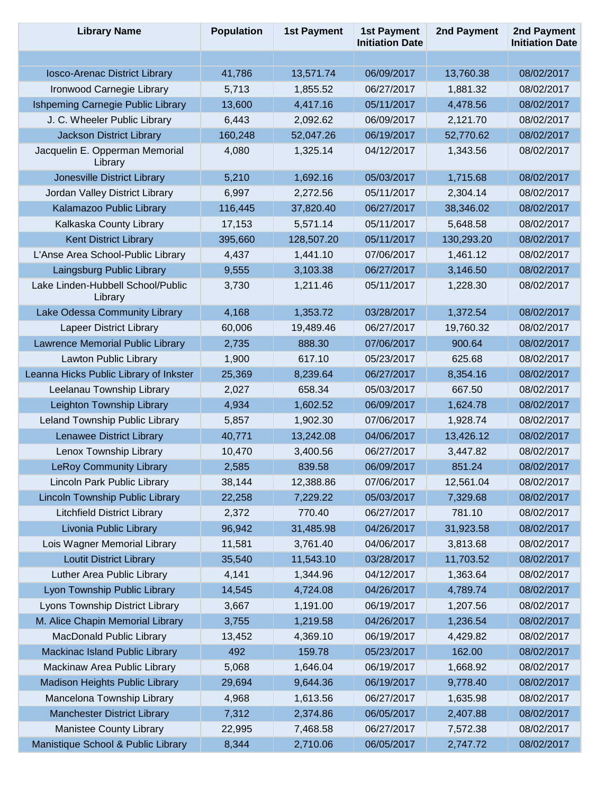| <b>Library Name</b>                          | <b>Population</b> | <b>1st Payment</b> | <b>1st Payment</b><br><b>Initiation Date</b> | 2nd Payment | 2nd Payment<br><b>Initiation Date</b> |
|----------------------------------------------|-------------------|--------------------|----------------------------------------------|-------------|---------------------------------------|
|                                              |                   |                    |                                              |             |                                       |
| Iosco-Arenac District Library                | 41,786            | 13,571.74          | 06/09/2017                                   | 13,760.38   | 08/02/2017                            |
| Ironwood Carnegie Library                    | 5,713             | 1,855.52           | 06/27/2017                                   | 1,881.32    | 08/02/2017                            |
| Ishpeming Carnegie Public Library            | 13,600            | 4,417.16           | 05/11/2017                                   | 4,478.56    | 08/02/2017                            |
| J. C. Wheeler Public Library                 | 6,443             | 2,092.62           | 06/09/2017                                   | 2,121.70    | 08/02/2017                            |
| <b>Jackson District Library</b>              | 160,248           | 52,047.26          | 06/19/2017                                   | 52,770.62   | 08/02/2017                            |
| Jacquelin E. Opperman Memorial<br>Library    | 4,080             | 1,325.14           | 04/12/2017                                   | 1,343.56    | 08/02/2017                            |
| Jonesville District Library                  | 5,210             | 1,692.16           | 05/03/2017                                   | 1,715.68    | 08/02/2017                            |
| Jordan Valley District Library               | 6,997             | 2,272.56           | 05/11/2017                                   | 2,304.14    | 08/02/2017                            |
| Kalamazoo Public Library                     | 116,445           | 37,820.40          | 06/27/2017                                   | 38,346.02   | 08/02/2017                            |
| Kalkaska County Library                      | 17,153            | 5,571.14           | 05/11/2017                                   | 5,648.58    | 08/02/2017                            |
| <b>Kent District Library</b>                 | 395,660           | 128,507.20         | 05/11/2017                                   | 130,293.20  | 08/02/2017                            |
| L'Anse Area School-Public Library            | 4,437             | 1,441.10           | 07/06/2017                                   | 1,461.12    | 08/02/2017                            |
| Laingsburg Public Library                    | 9,555             | 3,103.38           | 06/27/2017                                   | 3,146.50    | 08/02/2017                            |
| Lake Linden-Hubbell School/Public<br>Library | 3,730             | 1,211.46           | 05/11/2017                                   | 1,228.30    | 08/02/2017                            |
| Lake Odessa Community Library                | 4,168             | 1,353.72           | 03/28/2017                                   | 1,372.54    | 08/02/2017                            |
| <b>Lapeer District Library</b>               | 60,006            | 19,489.46          | 06/27/2017                                   | 19,760.32   | 08/02/2017                            |
| Lawrence Memorial Public Library             | 2,735             | 888.30             | 07/06/2017                                   | 900.64      | 08/02/2017                            |
| Lawton Public Library                        | 1,900             | 617.10             | 05/23/2017                                   | 625.68      | 08/02/2017                            |
| Leanna Hicks Public Library of Inkster       | 25,369            | 8,239.64           | 06/27/2017                                   | 8,354.16    | 08/02/2017                            |
| Leelanau Township Library                    | 2,027             | 658.34             | 05/03/2017                                   | 667.50      | 08/02/2017                            |
| Leighton Township Library                    | 4,934             | 1,602.52           | 06/09/2017                                   | 1,624.78    | 08/02/2017                            |
| Leland Township Public Library               | 5,857             | 1,902.30           | 07/06/2017                                   | 1,928.74    | 08/02/2017                            |
| Lenawee District Library                     | 40,771            | 13,242.08          | 04/06/2017                                   | 13,426.12   | 08/02/2017                            |
| Lenox Township Library                       | 10,470            | 3,400.56           | 06/27/2017                                   | 3,447.82    | 08/02/2017                            |
| <b>LeRoy Community Library</b>               | 2,585             | 839.58             | 06/09/2017                                   | 851.24      | 08/02/2017                            |
| Lincoln Park Public Library                  | 38,144            | 12,388.86          | 07/06/2017                                   | 12,561.04   | 08/02/2017                            |
| Lincoln Township Public Library              | 22,258            | 7,229.22           | 05/03/2017                                   | 7,329.68    | 08/02/2017                            |
| <b>Litchfield District Library</b>           | 2,372             | 770.40             | 06/27/2017                                   | 781.10      | 08/02/2017                            |
| Livonia Public Library                       | 96,942            | 31,485.98          | 04/26/2017                                   | 31,923.58   | 08/02/2017                            |
| Lois Wagner Memorial Library                 | 11,581            | 3,761.40           | 04/06/2017                                   | 3,813.68    | 08/02/2017                            |
| <b>Loutit District Library</b>               | 35,540            | 11,543.10          | 03/28/2017                                   | 11,703.52   | 08/02/2017                            |
| Luther Area Public Library                   | 4,141             | 1,344.96           | 04/12/2017                                   | 1,363.64    | 08/02/2017                            |
| Lyon Township Public Library                 | 14,545            | 4,724.08           | 04/26/2017                                   | 4,789.74    | 08/02/2017                            |
| Lyons Township District Library              | 3,667             | 1,191.00           | 06/19/2017                                   | 1,207.56    | 08/02/2017                            |
| M. Alice Chapin Memorial Library             | 3,755             | 1,219.58           | 04/26/2017                                   | 1,236.54    | 08/02/2017                            |
| MacDonald Public Library                     | 13,452            | 4,369.10           | 06/19/2017                                   | 4,429.82    | 08/02/2017                            |
| Mackinac Island Public Library               | 492               | 159.78             | 05/23/2017                                   | 162.00      | 08/02/2017                            |
| Mackinaw Area Public Library                 | 5,068             | 1,646.04           | 06/19/2017                                   | 1,668.92    | 08/02/2017                            |
| Madison Heights Public Library               | 29,694            | 9,644.36           | 06/19/2017                                   | 9,778.40    | 08/02/2017                            |
| Mancelona Township Library                   | 4,968             | 1,613.56           | 06/27/2017                                   | 1,635.98    | 08/02/2017                            |
| <b>Manchester District Library</b>           | 7,312             | 2,374.86           | 06/05/2017                                   | 2,407.88    | 08/02/2017                            |
| Manistee County Library                      | 22,995            | 7,468.58           | 06/27/2017                                   | 7,572.38    | 08/02/2017                            |
| Manistique School & Public Library           | 8,344             | 2,710.06           | 06/05/2017                                   | 2,747.72    | 08/02/2017                            |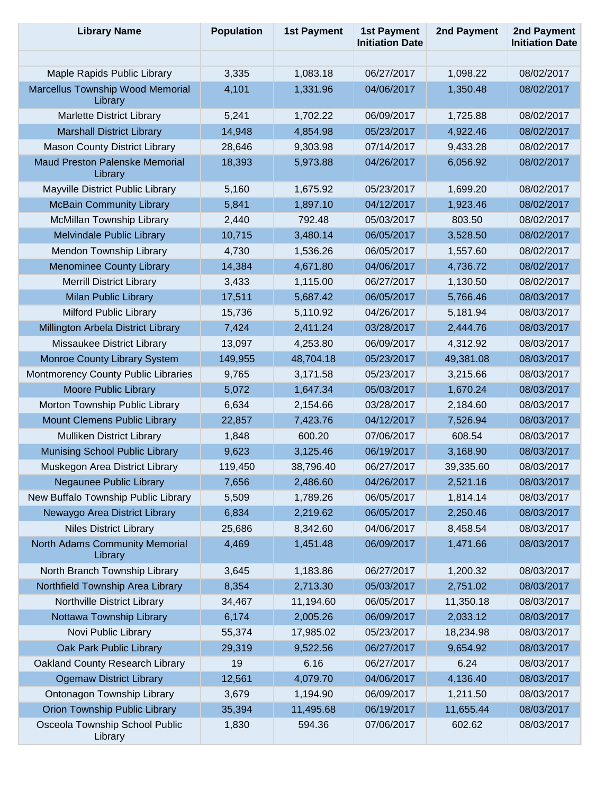| <b>Library Name</b>                              | <b>Population</b>                                                                                                             | <b>1st Payment</b> | <b>1st Payment</b><br><b>Initiation Date</b> | 2nd Payment | 2nd Payment<br><b>Initiation Date</b> |
|--------------------------------------------------|-------------------------------------------------------------------------------------------------------------------------------|--------------------|----------------------------------------------|-------------|---------------------------------------|
|                                                  |                                                                                                                               |                    |                                              |             |                                       |
| Maple Rapids Public Library                      | 3,335                                                                                                                         | 1,083.18           | 06/27/2017                                   | 1,098.22    | 08/02/2017                            |
| Marcellus Township Wood Memorial<br>Library      | 4,101                                                                                                                         | 1,331.96           | 04/06/2017                                   | 1,350.48    | 08/02/2017                            |
| <b>Marlette District Library</b>                 |                                                                                                                               |                    | 06/09/2017                                   | 1,725.88    | 08/02/2017                            |
| <b>Marshall District Library</b>                 |                                                                                                                               |                    | 05/23/2017                                   | 4,922.46    | 08/02/2017                            |
| <b>Mason County District Library</b>             | 5,241<br>1,702.22<br>14,948<br>4,854.98<br>28,646<br>9,303.98<br>18,393<br>5,973.88<br>5,160<br>1,675.92<br>5,841<br>1,897.10 |                    | 07/14/2017                                   | 9,433.28    | 08/02/2017                            |
| <b>Maud Preston Palenske Memorial</b><br>Library |                                                                                                                               |                    | 04/26/2017                                   | 6,056.92    | 08/02/2017                            |
| Mayville District Public Library                 |                                                                                                                               |                    | 05/23/2017                                   | 1,699.20    | 08/02/2017                            |
| <b>McBain Community Library</b>                  |                                                                                                                               |                    | 04/12/2017                                   | 1,923.46    | 08/02/2017                            |
| McMillan Township Library                        | 2,440                                                                                                                         | 792.48             | 05/03/2017                                   | 803.50      | 08/02/2017                            |
| <b>Melvindale Public Library</b>                 | 10,715                                                                                                                        | 3,480.14           | 06/05/2017                                   | 3,528.50    | 08/02/2017                            |
| Mendon Township Library                          | 4,730                                                                                                                         | 1,536.26           | 06/05/2017                                   | 1,557.60    | 08/02/2017                            |
| <b>Menominee County Library</b>                  | 14,384                                                                                                                        | 4,671.80           | 04/06/2017                                   | 4,736.72    | 08/02/2017                            |
| <b>Merrill District Library</b>                  | 3,433                                                                                                                         | 1,115.00           | 06/27/2017                                   | 1,130.50    | 08/02/2017                            |
| <b>Milan Public Library</b>                      | 17,511                                                                                                                        | 5,687.42           | 06/05/2017                                   | 5,766.46    | 08/03/2017                            |
| Milford Public Library                           | 15,736                                                                                                                        | 5,110.92           | 04/26/2017                                   | 5,181.94    | 08/03/2017                            |
| Millington Arbela District Library               | 7,424                                                                                                                         | 2,411.24           | 03/28/2017                                   | 2,444.76    | 08/03/2017                            |
| Missaukee District Library                       | 13,097                                                                                                                        | 4,253.80           | 06/09/2017                                   | 4,312.92    | 08/03/2017                            |
| Monroe County Library System                     | 149,955                                                                                                                       | 48,704.18          | 05/23/2017                                   | 49,381.08   | 08/03/2017                            |
| Montmorency County Public Libraries              | 9,765                                                                                                                         | 3,171.58           | 05/23/2017                                   | 3,215.66    | 08/03/2017                            |
| <b>Moore Public Library</b>                      | 5,072                                                                                                                         | 1,647.34           | 05/03/2017                                   | 1,670.24    | 08/03/2017                            |
| Morton Township Public Library                   | 6,634                                                                                                                         | 2,154.66           | 03/28/2017                                   | 2,184.60    | 08/03/2017                            |
| Mount Clemens Public Library                     | 22,857                                                                                                                        | 7,423.76           | 04/12/2017                                   | 7,526.94    | 08/03/2017                            |
| <b>Mulliken District Library</b>                 | 1,848                                                                                                                         | 600.20             | 07/06/2017                                   | 608.54      | 08/03/2017                            |
| Munising School Public Library                   | 9,623                                                                                                                         | 3,125.46           | 06/19/2017                                   | 3,168.90    | 08/03/2017                            |
| Muskegon Area District Library                   | 119,450                                                                                                                       | 38,796.40          | 06/27/2017                                   | 39,335.60   | 08/03/2017                            |
| Negaunee Public Library                          | 7,656                                                                                                                         | 2,486.60           | 04/26/2017                                   | 2,521.16    | 08/03/2017                            |
| New Buffalo Township Public Library              | 5,509                                                                                                                         | 1,789.26           | 06/05/2017                                   | 1,814.14    | 08/03/2017                            |
| Newaygo Area District Library                    | 6,834                                                                                                                         | 2,219.62           | 06/05/2017                                   | 2,250.46    | 08/03/2017                            |
| <b>Niles District Library</b>                    | 25,686                                                                                                                        | 8,342.60           | 04/06/2017                                   | 8,458.54    | 08/03/2017                            |
| North Adams Community Memorial<br>Library        | 4,469                                                                                                                         | 1,451.48           | 06/09/2017                                   | 1,471.66    | 08/03/2017                            |
| North Branch Township Library                    | 3,645                                                                                                                         | 1,183.86           | 06/27/2017                                   | 1,200.32    | 08/03/2017                            |
| Northfield Township Area Library                 | 8,354                                                                                                                         | 2,713.30           | 05/03/2017                                   | 2,751.02    | 08/03/2017                            |
| Northville District Library                      | 34,467                                                                                                                        | 11,194.60          | 06/05/2017                                   | 11,350.18   | 08/03/2017                            |
| Nottawa Township Library                         | 6,174                                                                                                                         | 2,005.26           | 06/09/2017                                   | 2,033.12    | 08/03/2017                            |
| Novi Public Library                              | 55,374                                                                                                                        | 17,985.02          | 05/23/2017                                   | 18,234.98   | 08/03/2017                            |
| Oak Park Public Library                          | 29,319                                                                                                                        | 9,522.56           | 06/27/2017                                   | 9,654.92    | 08/03/2017                            |
| Oakland County Research Library                  | 19                                                                                                                            | 6.16               | 06/27/2017                                   | 6.24        | 08/03/2017                            |
| <b>Ogemaw District Library</b>                   | 12,561                                                                                                                        | 4,079.70           | 04/06/2017                                   | 4,136.40    | 08/03/2017                            |
| Ontonagon Township Library                       | 3,679                                                                                                                         | 1,194.90           | 06/09/2017                                   | 1,211.50    | 08/03/2017                            |
| <b>Orion Township Public Library</b>             | 35,394                                                                                                                        | 11,495.68          | 06/19/2017                                   | 11,655.44   | 08/03/2017                            |
| Osceola Township School Public<br>Library        | 1,830                                                                                                                         | 594.36             | 07/06/2017                                   | 602.62      | 08/03/2017                            |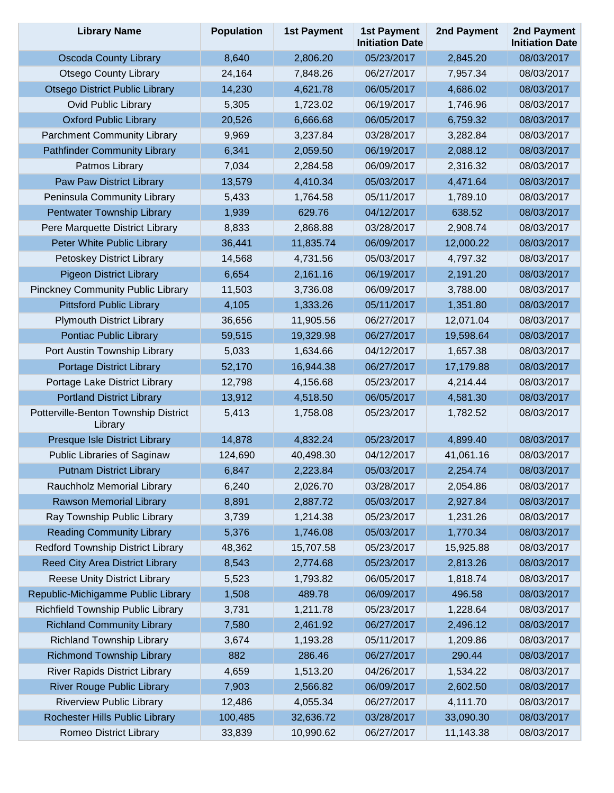| <b>Library Name</b>                             | <b>Population</b> | <b>1st Payment</b> | <b>1st Payment</b><br><b>Initiation Date</b> | 2nd Payment | 2nd Payment<br><b>Initiation Date</b> |
|-------------------------------------------------|-------------------|--------------------|----------------------------------------------|-------------|---------------------------------------|
| <b>Oscoda County Library</b>                    | 8,640             | 2,806.20           | 05/23/2017                                   | 2,845.20    | 08/03/2017                            |
| <b>Otsego County Library</b>                    | 24,164            | 7,848.26           | 06/27/2017                                   | 7,957.34    | 08/03/2017                            |
| <b>Otsego District Public Library</b>           | 14,230            | 4,621.78           | 06/05/2017                                   | 4,686.02    | 08/03/2017                            |
| <b>Ovid Public Library</b>                      | 5,305             | 1,723.02           | 06/19/2017                                   | 1,746.96    | 08/03/2017                            |
| <b>Oxford Public Library</b>                    | 20,526            | 6,666.68           | 06/05/2017                                   | 6,759.32    | 08/03/2017                            |
| <b>Parchment Community Library</b>              | 9,969             | 3,237.84           | 03/28/2017                                   | 3,282.84    | 08/03/2017                            |
| <b>Pathfinder Community Library</b>             | 6,341             | 2,059.50           | 06/19/2017                                   | 2,088.12    | 08/03/2017                            |
| Patmos Library                                  | 7,034             | 2,284.58           | 06/09/2017                                   | 2,316.32    | 08/03/2017                            |
| Paw Paw District Library                        | 13,579            | 4,410.34           | 05/03/2017                                   | 4,471.64    | 08/03/2017                            |
| Peninsula Community Library                     | 5,433             | 1,764.58           | 05/11/2017                                   | 1,789.10    | 08/03/2017                            |
| Pentwater Township Library                      | 1,939             | 629.76             | 04/12/2017                                   | 638.52      | 08/03/2017                            |
| Pere Marquette District Library                 | 8,833             | 2,868.88           | 03/28/2017                                   | 2,908.74    | 08/03/2017                            |
| Peter White Public Library                      | 36,441            | 11,835.74          | 06/09/2017                                   | 12,000.22   | 08/03/2017                            |
| Petoskey District Library                       | 14,568            | 4,731.56           | 05/03/2017                                   | 4,797.32    | 08/03/2017                            |
| <b>Pigeon District Library</b>                  | 6,654             | 2,161.16           | 06/19/2017                                   | 2,191.20    | 08/03/2017                            |
| <b>Pinckney Community Public Library</b>        | 11,503            | 3,736.08           | 06/09/2017                                   | 3,788.00    | 08/03/2017                            |
| <b>Pittsford Public Library</b>                 | 4,105             | 1,333.26           | 05/11/2017                                   | 1,351.80    | 08/03/2017                            |
| <b>Plymouth District Library</b>                | 36,656            | 11,905.56          | 06/27/2017                                   | 12,071.04   | 08/03/2017                            |
| Pontiac Public Library                          | 59,515            | 19,329.98          | 06/27/2017                                   | 19,598.64   | 08/03/2017                            |
| Port Austin Township Library                    | 5,033             | 1,634.66           | 04/12/2017                                   | 1,657.38    | 08/03/2017                            |
| <b>Portage District Library</b>                 | 52,170            | 16,944.38          | 06/27/2017                                   | 17,179.88   | 08/03/2017                            |
| Portage Lake District Library                   | 12,798            | 4,156.68           | 05/23/2017                                   | 4,214.44    | 08/03/2017                            |
| <b>Portland District Library</b>                | 13,912            | 4,518.50           | 06/05/2017                                   | 4,581.30    | 08/03/2017                            |
| Potterville-Benton Township District<br>Library | 5,413             | 1,758.08           | 05/23/2017                                   | 1,782.52    | 08/03/2017                            |
| Presque Isle District Library                   | 14,878            | 4,832.24           | 05/23/2017                                   | 4,899.40    | 08/03/2017                            |
| <b>Public Libraries of Saginaw</b>              | 124,690           | 40,498.30          | 04/12/2017                                   | 41,061.16   | 08/03/2017                            |
| <b>Putnam District Library</b>                  | 6,847             | 2,223.84           | 05/03/2017                                   | 2,254.74    | 08/03/2017                            |
| Rauchholz Memorial Library                      | 6,240             | 2,026.70           | 03/28/2017                                   | 2,054.86    | 08/03/2017                            |
| Rawson Memorial Library                         | 8,891             | 2,887.72           | 05/03/2017                                   | 2,927.84    | 08/03/2017                            |
| Ray Township Public Library                     | 3,739             | 1,214.38           | 05/23/2017                                   | 1,231.26    | 08/03/2017                            |
| <b>Reading Community Library</b>                | 5,376             | 1,746.08           | 05/03/2017                                   | 1,770.34    | 08/03/2017                            |
| Redford Township District Library               | 48,362            | 15,707.58          | 05/23/2017                                   | 15,925.88   | 08/03/2017                            |
| Reed City Area District Library                 | 8,543             | 2,774.68           | 05/23/2017                                   | 2,813.26    | 08/03/2017                            |
| <b>Reese Unity District Library</b>             | 5,523             | 1,793.82           | 06/05/2017                                   | 1,818.74    | 08/03/2017                            |
| Republic-Michigamme Public Library              | 1,508             | 489.78             | 06/09/2017                                   | 496.58      | 08/03/2017                            |
| Richfield Township Public Library               | 3,731             | 1,211.78           | 05/23/2017                                   | 1,228.64    | 08/03/2017                            |
| <b>Richland Community Library</b>               | 7,580             | 2,461.92           | 06/27/2017                                   | 2,496.12    | 08/03/2017                            |
| <b>Richland Township Library</b>                | 3,674             | 1,193.28           | 05/11/2017                                   | 1,209.86    | 08/03/2017                            |
| <b>Richmond Township Library</b>                | 882               | 286.46             | 06/27/2017                                   | 290.44      | 08/03/2017                            |
| <b>River Rapids District Library</b>            | 4,659             | 1,513.20           | 04/26/2017                                   | 1,534.22    | 08/03/2017                            |
| <b>River Rouge Public Library</b>               | 7,903             | 2,566.82           | 06/09/2017                                   | 2,602.50    | 08/03/2017                            |
| <b>Riverview Public Library</b>                 | 12,486            | 4,055.34           | 06/27/2017                                   | 4,111.70    | 08/03/2017                            |
| Rochester Hills Public Library                  | 100,485           | 32,636.72          | 03/28/2017                                   | 33,090.30   | 08/03/2017                            |
| Romeo District Library                          | 33,839            | 10,990.62          | 06/27/2017                                   | 11,143.38   | 08/03/2017                            |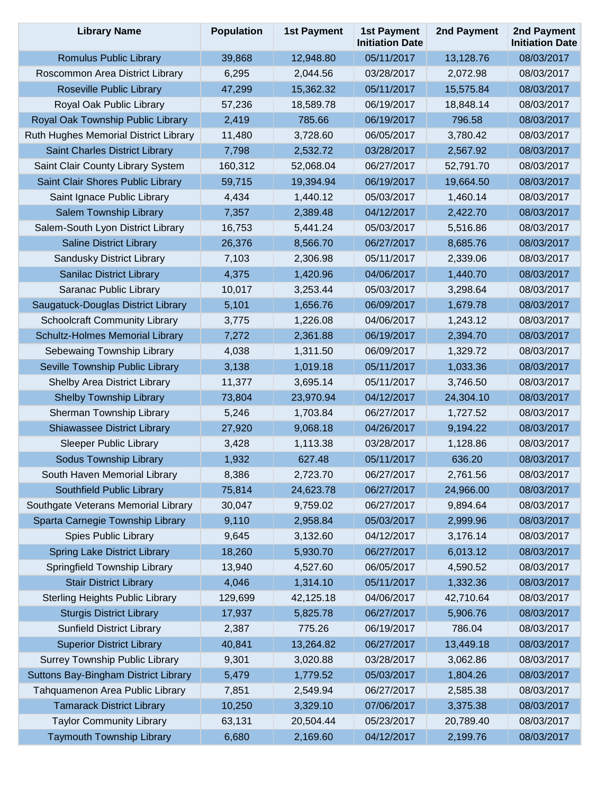| <b>Library Name</b>                    | <b>Population</b> | <b>1st Payment</b> | <b>1st Payment</b><br><b>Initiation Date</b> | 2nd Payment | 2nd Payment<br><b>Initiation Date</b> |
|----------------------------------------|-------------------|--------------------|----------------------------------------------|-------------|---------------------------------------|
| Romulus Public Library                 | 39,868            | 12,948.80          | 05/11/2017                                   | 13,128.76   | 08/03/2017                            |
| Roscommon Area District Library        | 6,295             | 2,044.56           | 03/28/2017                                   | 2,072.98    | 08/03/2017                            |
| <b>Roseville Public Library</b>        | 47,299            | 15,362.32          | 05/11/2017                                   | 15,575.84   | 08/03/2017                            |
| Royal Oak Public Library               | 57,236            | 18,589.78          | 06/19/2017                                   | 18,848.14   | 08/03/2017                            |
| Royal Oak Township Public Library      | 2,419             | 785.66             | 06/19/2017                                   | 796.58      | 08/03/2017                            |
| Ruth Hughes Memorial District Library  | 11,480            | 3,728.60           | 06/05/2017                                   | 3,780.42    | 08/03/2017                            |
| Saint Charles District Library         | 7,798             | 2,532.72           | 03/28/2017                                   | 2,567.92    | 08/03/2017                            |
| Saint Clair County Library System      | 160,312           | 52,068.04          | 06/27/2017                                   | 52,791.70   | 08/03/2017                            |
| Saint Clair Shores Public Library      | 59,715            | 19,394.94          | 06/19/2017                                   | 19,664.50   | 08/03/2017                            |
| Saint Ignace Public Library            | 4,434             | 1,440.12           | 05/03/2017                                   | 1,460.14    | 08/03/2017                            |
| Salem Township Library                 | 7,357             | 2,389.48           | 04/12/2017                                   | 2,422.70    | 08/03/2017                            |
| Salem-South Lyon District Library      | 16,753            | 5,441.24           | 05/03/2017                                   | 5,516.86    | 08/03/2017                            |
| <b>Saline District Library</b>         | 26,376            | 8,566.70           | 06/27/2017                                   | 8,685.76    | 08/03/2017                            |
| Sandusky District Library              | 7,103             | 2,306.98           | 05/11/2017                                   | 2,339.06    | 08/03/2017                            |
| <b>Sanilac District Library</b>        | 4,375             | 1,420.96           | 04/06/2017                                   | 1,440.70    | 08/03/2017                            |
| Saranac Public Library                 | 10,017            | 3,253.44           | 05/03/2017                                   | 3,298.64    | 08/03/2017                            |
| Saugatuck-Douglas District Library     | 5,101             | 1,656.76           | 06/09/2017                                   | 1,679.78    | 08/03/2017                            |
| <b>Schoolcraft Community Library</b>   | 3,775             | 1,226.08           | 04/06/2017                                   | 1,243.12    | 08/03/2017                            |
| Schultz-Holmes Memorial Library        | 7,272             | 2,361.88           | 06/19/2017                                   | 2,394.70    | 08/03/2017                            |
| Sebewaing Township Library             | 4,038             | 1,311.50           | 06/09/2017                                   | 1,329.72    | 08/03/2017                            |
| Seville Township Public Library        | 3,138             | 1,019.18           | 05/11/2017                                   | 1,033.36    | 08/03/2017                            |
| Shelby Area District Library           | 11,377            | 3,695.14           | 05/11/2017                                   | 3,746.50    | 08/03/2017                            |
| <b>Shelby Township Library</b>         | 73,804            | 23,970.94          | 04/12/2017                                   | 24,304.10   | 08/03/2017                            |
| Sherman Township Library               | 5,246             | 1,703.84           | 06/27/2017                                   | 1,727.52    | 08/03/2017                            |
| <b>Shiawassee District Library</b>     | 27,920            | 9,068.18           | 04/26/2017                                   | 9,194.22    | 08/03/2017                            |
| <b>Sleeper Public Library</b>          | 3,428             | 1,113.38           | 03/28/2017                                   | 1,128.86    | 08/03/2017                            |
| Sodus Township Library                 | 1,932             | 627.48             | 05/11/2017                                   | 636.20      | 08/03/2017                            |
| South Haven Memorial Library           | 8,386             | 2,723.70           | 06/27/2017                                   | 2,761.56    | 08/03/2017                            |
| Southfield Public Library              | 75,814            | 24,623.78          | 06/27/2017                                   | 24,966.00   | 08/03/2017                            |
| Southgate Veterans Memorial Library    | 30,047            | 9,759.02           | 06/27/2017                                   | 9,894.64    | 08/03/2017                            |
| Sparta Carnegie Township Library       | 9,110             | 2,958.84           | 05/03/2017                                   | 2,999.96    | 08/03/2017                            |
| <b>Spies Public Library</b>            | 9,645             | 3,132.60           | 04/12/2017                                   | 3,176.14    | 08/03/2017                            |
| <b>Spring Lake District Library</b>    | 18,260            | 5,930.70           | 06/27/2017                                   | 6,013.12    | 08/03/2017                            |
| Springfield Township Library           | 13,940            | 4,527.60           | 06/05/2017                                   | 4,590.52    | 08/03/2017                            |
| <b>Stair District Library</b>          | 4,046             | 1,314.10           | 05/11/2017                                   | 1,332.36    | 08/03/2017                            |
| <b>Sterling Heights Public Library</b> | 129,699           | 42,125.18          | 04/06/2017                                   | 42,710.64   | 08/03/2017                            |
| <b>Sturgis District Library</b>        | 17,937            | 5,825.78           | 06/27/2017                                   | 5,906.76    | 08/03/2017                            |
| <b>Sunfield District Library</b>       | 2,387             | 775.26             | 06/19/2017                                   | 786.04      | 08/03/2017                            |
| <b>Superior District Library</b>       | 40,841            | 13,264.82          | 06/27/2017                                   | 13,449.18   | 08/03/2017                            |
| <b>Surrey Township Public Library</b>  | 9,301             | 3,020.88           | 03/28/2017                                   | 3,062.86    | 08/03/2017                            |
| Suttons Bay-Bingham District Library   | 5,479             | 1,779.52           | 05/03/2017                                   | 1,804.26    | 08/03/2017                            |
| Tahquamenon Area Public Library        | 7,851             | 2,549.94           | 06/27/2017                                   | 2,585.38    | 08/03/2017                            |
| <b>Tamarack District Library</b>       | 10,250            | 3,329.10           | 07/06/2017                                   | 3,375.38    | 08/03/2017                            |
| <b>Taylor Community Library</b>        | 63,131            | 20,504.44          | 05/23/2017                                   | 20,789.40   | 08/03/2017                            |
| <b>Taymouth Township Library</b>       | 6,680             | 2,169.60           | 04/12/2017                                   | 2,199.76    | 08/03/2017                            |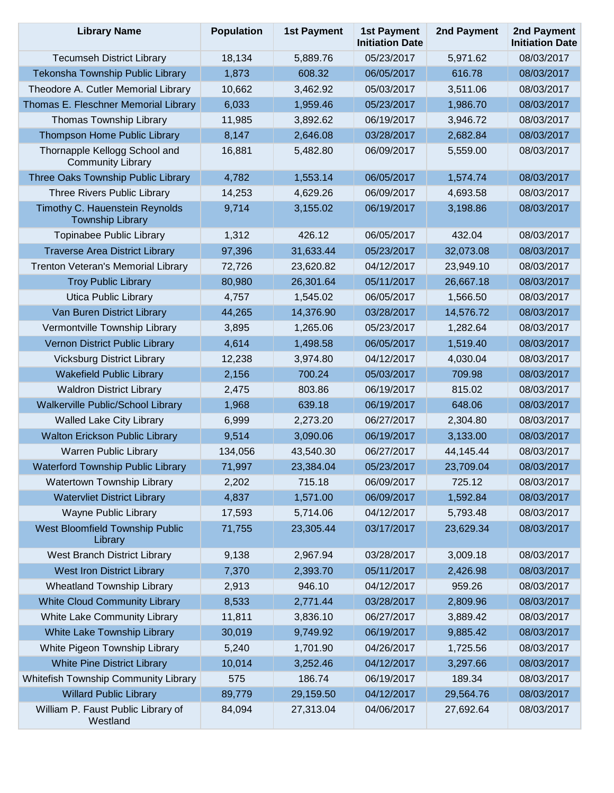| <b>Library Name</b>                                       | <b>Population</b> | <b>1st Payment</b> | <b>1st Payment</b><br><b>Initiation Date</b> | 2nd Payment | 2nd Payment<br><b>Initiation Date</b> |
|-----------------------------------------------------------|-------------------|--------------------|----------------------------------------------|-------------|---------------------------------------|
| <b>Tecumseh District Library</b>                          | 18,134            | 5,889.76           | 05/23/2017                                   | 5,971.62    | 08/03/2017                            |
| Tekonsha Township Public Library                          | 1,873             | 608.32             | 06/05/2017                                   | 616.78      | 08/03/2017                            |
| Theodore A. Cutler Memorial Library                       | 10,662            | 3,462.92           | 05/03/2017                                   | 3,511.06    | 08/03/2017                            |
| Thomas E. Fleschner Memorial Library                      | 6,033             | 1,959.46           | 05/23/2017                                   | 1,986.70    | 08/03/2017                            |
| Thomas Township Library                                   | 11,985            | 3,892.62           | 06/19/2017                                   | 3,946.72    | 08/03/2017                            |
| Thompson Home Public Library                              | 8,147             | 2,646.08           | 03/28/2017                                   | 2,682.84    | 08/03/2017                            |
| Thornapple Kellogg School and<br><b>Community Library</b> | 16,881            | 5,482.80           | 06/09/2017                                   | 5,559.00    | 08/03/2017                            |
| Three Oaks Township Public Library                        | 4,782             | 1,553.14           | 06/05/2017                                   | 1,574.74    | 08/03/2017                            |
| Three Rivers Public Library                               | 14,253            | 4,629.26           | 06/09/2017                                   | 4,693.58    | 08/03/2017                            |
| Timothy C. Hauenstein Reynolds<br><b>Township Library</b> | 9,714             | 3,155.02           | 06/19/2017                                   | 3,198.86    | 08/03/2017                            |
| Topinabee Public Library                                  | 1,312             | 426.12             | 06/05/2017                                   | 432.04      | 08/03/2017                            |
| <b>Traverse Area District Library</b>                     | 97,396            | 31,633.44          | 05/23/2017                                   | 32,073.08   | 08/03/2017                            |
| Trenton Veteran's Memorial Library                        | 72,726            | 23,620.82          | 04/12/2017                                   | 23,949.10   | 08/03/2017                            |
| <b>Troy Public Library</b>                                | 80,980            | 26,301.64          | 05/11/2017                                   | 26,667.18   | 08/03/2017                            |
| <b>Utica Public Library</b>                               | 4,757             | 1,545.02           | 06/05/2017                                   | 1,566.50    | 08/03/2017                            |
| Van Buren District Library                                | 44,265            | 14,376.90          | 03/28/2017                                   | 14,576.72   | 08/03/2017                            |
| Vermontville Township Library                             | 3,895             | 1,265.06           | 05/23/2017                                   | 1,282.64    | 08/03/2017                            |
| Vernon District Public Library                            | 4,614             | 1,498.58           | 06/05/2017                                   | 1,519.40    | 08/03/2017                            |
| <b>Vicksburg District Library</b>                         | 12,238            | 3,974.80           | 04/12/2017                                   | 4,030.04    | 08/03/2017                            |
| <b>Wakefield Public Library</b>                           | 2,156             | 700.24             | 05/03/2017                                   | 709.98      | 08/03/2017                            |
| <b>Waldron District Library</b>                           | 2,475             | 803.86             | 06/19/2017                                   | 815.02      | 08/03/2017                            |
| Walkerville Public/School Library                         | 1,968             | 639.18             | 06/19/2017                                   | 648.06      | 08/03/2017                            |
| <b>Walled Lake City Library</b>                           | 6,999             | 2,273.20           | 06/27/2017                                   | 2,304.80    | 08/03/2017                            |
| <b>Walton Erickson Public Library</b>                     | 9,514             | 3,090.06           | 06/19/2017                                   | 3,133.00    | 08/03/2017                            |
| <b>Warren Public Library</b>                              | 134,056           | 43,540.30          | 06/27/2017                                   | 44,145.44   | 08/03/2017                            |
| <b>Waterford Township Public Library</b>                  | 71,997            | 23,384.04          | 05/23/2017                                   | 23,709.04   | 08/03/2017                            |
| Watertown Township Library                                | 2,202             | 715.18             | 06/09/2017                                   | 725.12      | 08/03/2017                            |
| <b>Watervliet District Library</b>                        | 4,837             | 1,571.00           | 06/09/2017                                   | 1,592.84    | 08/03/2017                            |
| Wayne Public Library                                      | 17,593            | 5,714.06           | 04/12/2017                                   | 5,793.48    | 08/03/2017                            |
| West Bloomfield Township Public<br>Library                | 71,755            | 23,305.44          | 03/17/2017                                   | 23,629.34   | 08/03/2017                            |
| West Branch District Library                              | 9,138             | 2,967.94           | 03/28/2017                                   | 3,009.18    | 08/03/2017                            |
| <b>West Iron District Library</b>                         | 7,370             | 2,393.70           | 05/11/2017                                   | 2,426.98    | 08/03/2017                            |
| <b>Wheatland Township Library</b>                         | 2,913             | 946.10             | 04/12/2017                                   | 959.26      | 08/03/2017                            |
| <b>White Cloud Community Library</b>                      | 8,533             | 2,771.44           | 03/28/2017                                   | 2,809.96    | 08/03/2017                            |
| White Lake Community Library                              | 11,811            | 3,836.10           | 06/27/2017                                   | 3,889.42    | 08/03/2017                            |
| White Lake Township Library                               | 30,019            | 9,749.92           | 06/19/2017                                   | 9,885.42    | 08/03/2017                            |
| White Pigeon Township Library                             | 5,240             | 1,701.90           | 04/26/2017                                   | 1,725.56    | 08/03/2017                            |
| <b>White Pine District Library</b>                        | 10,014            | 3,252.46           | 04/12/2017                                   | 3,297.66    | 08/03/2017                            |
| Whitefish Township Community Library                      | 575               | 186.74             | 06/19/2017                                   | 189.34      | 08/03/2017                            |
| <b>Willard Public Library</b>                             | 89,779            | 29,159.50          | 04/12/2017                                   | 29,564.76   | 08/03/2017                            |
| William P. Faust Public Library of<br>Westland            | 84,094            | 27,313.04          | 04/06/2017                                   | 27,692.64   | 08/03/2017                            |